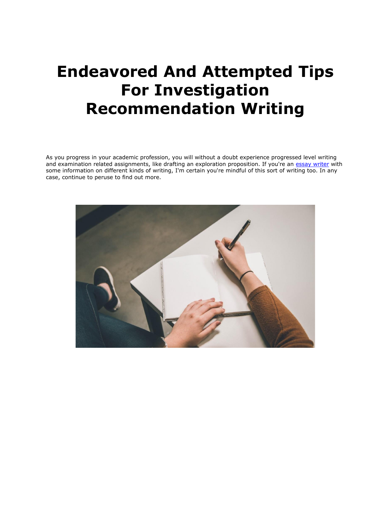# **Endeavored And Attempted Tips For Investigation Recommendation Writing**

As you progress in your academic profession, you will without a doubt experience progressed level writing and examination related assignments, like drafting an exploration proposition. If you're an [essay writer](https://www.essaywriter.college/) with some information on different kinds of writing, I'm certain you're mindful of this sort of writing too. In any case, continue to peruse to find out more.

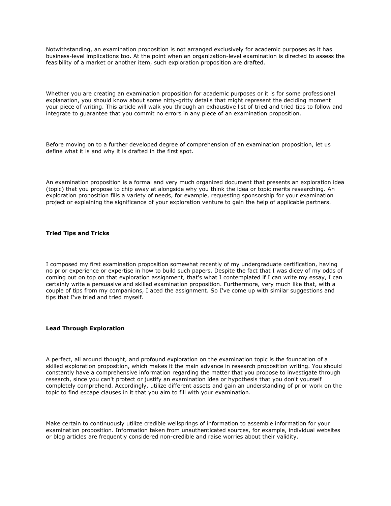Notwithstanding, an examination proposition is not arranged exclusively for academic purposes as it has business-level implications too. At the point when an organization-level examination is directed to assess the feasibility of a market or another item, such exploration proposition are drafted.

Whether you are creating an examination proposition for academic purposes or it is for some professional explanation, you should know about some nitty-gritty details that might represent the deciding moment your piece of writing. This article will walk you through an exhaustive list of tried and tried tips to follow and integrate to guarantee that you commit no errors in any piece of an examination proposition.

Before moving on to a further developed degree of comprehension of an examination proposition, let us define what it is and why it is drafted in the first spot.

An examination proposition is a formal and very much organized document that presents an exploration idea (topic) that you propose to chip away at alongside why you think the idea or topic merits researching. An exploration proposition fills a variety of needs, for example, requesting sponsorship for your examination project or explaining the significance of your exploration venture to gain the help of applicable partners.

## **Tried Tips and Tricks**

I composed my first examination proposition somewhat recently of my undergraduate certification, having no prior experience or expertise in how to build such papers. Despite the fact that I was dicey of my odds of coming out on top on that exploration assignment, that's what I contemplated if I can write my essay, I can certainly write a persuasive and skilled examination proposition. Furthermore, very much like that, with a couple of tips from my companions, I aced the assignment. So I've come up with similar suggestions and tips that I've tried and tried myself.

#### **Lead Through Exploration**

A perfect, all around thought, and profound exploration on the examination topic is the foundation of a skilled exploration proposition, which makes it the main advance in research proposition writing. You should constantly have a comprehensive information regarding the matter that you propose to investigate through research, since you can't protect or justify an examination idea or hypothesis that you don't yourself completely comprehend. Accordingly, utilize different assets and gain an understanding of prior work on the topic to find escape clauses in it that you aim to fill with your examination.

Make certain to continuously utilize credible wellsprings of information to assemble information for your examination proposition. Information taken from unauthenticated sources, for example, individual websites or blog articles are frequently considered non-credible and raise worries about their validity.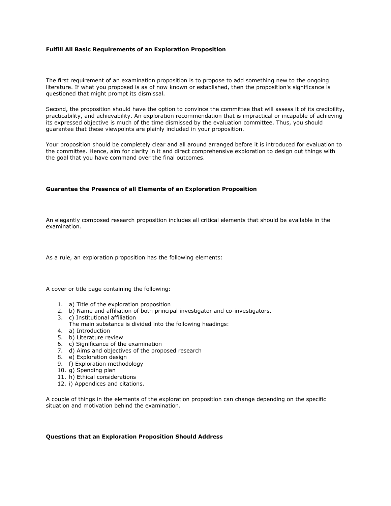## **Fulfill All Basic Requirements of an Exploration Proposition**

The first requirement of an examination proposition is to propose to add something new to the ongoing literature. If what you proposed is as of now known or established, then the proposition's significance is questioned that might prompt its dismissal.

Second, the proposition should have the option to convince the committee that will assess it of its credibility, practicability, and achievability. An exploration recommendation that is impractical or incapable of achieving its expressed objective is much of the time dismissed by the evaluation committee. Thus, you should guarantee that these viewpoints are plainly included in your proposition.

Your proposition should be completely clear and all around arranged before it is introduced for evaluation to the committee. Hence, aim for clarity in it and direct comprehensive exploration to design out things with the goal that you have command over the final outcomes.

## **Guarantee the Presence of all Elements of an Exploration Proposition**

An elegantly composed research proposition includes all critical elements that should be available in the examination.

As a rule, an exploration proposition has the following elements:

A cover or title page containing the following:

- 1. a) Title of the exploration proposition
- 2. b) Name and affiliation of both principal investigator and co-investigators.
- 3. c) Institutional affiliation
- The main substance is divided into the following headings:
- 4. a) Introduction
- 5. b) Literature review
- 6. c) Significance of the examination
- 7. d) Aims and objectives of the proposed research
- 8. e) Exploration design
- 9. f) Exploration methodology
- 10. g) Spending plan
- 11. h) Ethical considerations
- 12. i) Appendices and citations.

A couple of things in the elements of the exploration proposition can change depending on the specific situation and motivation behind the examination.

## **Questions that an Exploration Proposition Should Address**